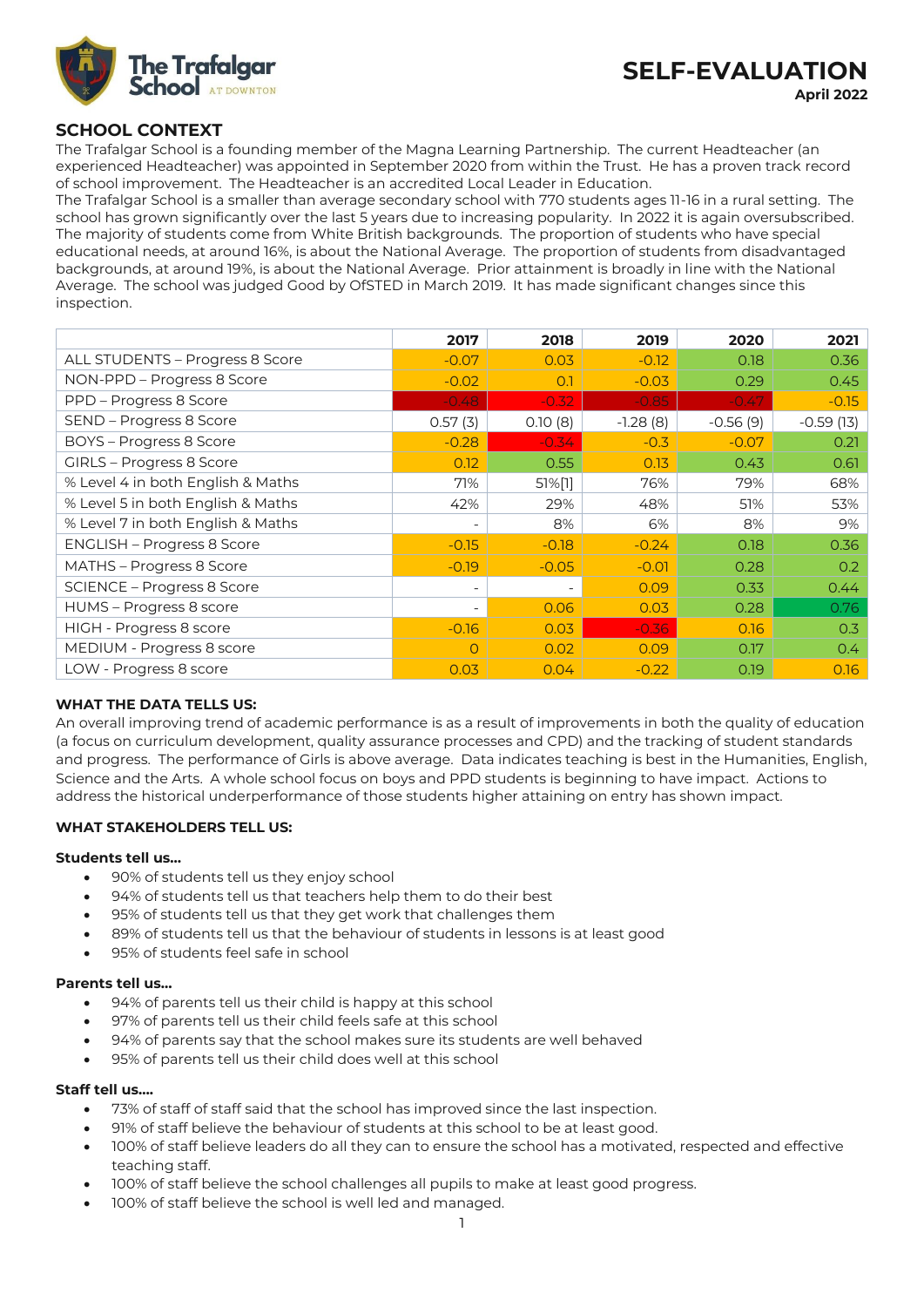

## **SCHOOL CONTEXT**

The Trafalgar School is a founding member of the Magna Learning Partnership. The current Headteacher (an experienced Headteacher) was appointed in September 2020 from within the Trust. He has a proven track record of school improvement. The Headteacher is an accredited Local Leader in Education.

The Trafalgar School is a smaller than average secondary school with 770 students ages 11-16 in a rural setting. The school has grown significantly over the last 5 years due to increasing popularity. In 2022 it is again oversubscribed. The majority of students come from White British backgrounds. The proportion of students who have special educational needs, at around 16%, is about the National Average. The proportion of students from disadvantaged backgrounds, at around 19%, is about the National Average. Prior attainment is broadly in line with the National Average. The school was judged Good by OfSTED in March 2019. It has made significant changes since this inspection.

|                                   | 2017                     | 2018                     | 2019       | 2020       | 2021          |
|-----------------------------------|--------------------------|--------------------------|------------|------------|---------------|
| ALL STUDENTS - Progress 8 Score   | $-0.07$                  | 0.03                     | $-0.12$    | 0.18       | 0.36          |
| NON-PPD - Progress 8 Score        | $-0.02$                  | 0.1                      | $-0.03$    | 0.29       | 0.45          |
| PPD – Progress 8 Score            | $-0.48$                  | $-0.32$                  | $-0.85$    | $-0.47$    | $-0.15$       |
| SEND - Progress 8 Score           | 0.57(3)                  | 0.10(8)                  | $-1.28(8)$ | $-0.56(9)$ | $-0.59(13)$   |
| BOYS - Progress 8 Score           | $-0.28$                  | $-0.34$                  | $-0.3$     | $-0.07$    | 0.21          |
| GIRLS - Progress 8 Score          | 0.12                     | 0.55                     | 0.13       | 0.43       | 0.61          |
| % Level 4 in both English & Maths | 71%                      | 51%[1]                   | 76%        | 79%        | 68%           |
| % Level 5 in both English & Maths | 42%                      | 29%                      | 48%        | 51%        | 53%           |
| % Level 7 in both English & Maths | -                        | 8%                       | 6%         | 8%         | 9%            |
| <b>ENGLISH - Progress 8 Score</b> | $-0.15$                  | $-0.18$                  | $-0.24$    | 0.18       | 0.36          |
| MATHS - Progress 8 Score          | $-0.19$                  | $-0.05$                  | $-0.01$    | 0.28       | 0.2           |
| SCIENCE - Progress 8 Score        | $\overline{\phantom{a}}$ | $\overline{\phantom{0}}$ | 0.09       | 0.33       | 0.44          |
| HUMS - Progress 8 score           | $\overline{\phantom{a}}$ | 0.06                     | 0.03       | 0.28       | 0.76          |
| HIGH - Progress 8 score           | $-0.16$                  | 0.03                     | $-0.36$    | 0.16       | 0.3           |
| MEDIUM - Progress 8 score         | $\circ$                  | 0.02                     | 0.09       | 0.17       | $0.4^{\circ}$ |
| LOW - Progress 8 score            | 0.03                     | 0.04                     | $-0.22$    | 0.19       | 0.16          |

### **WHAT THE DATA TELLS US:**

An overall improving trend of academic performance is as a result of improvements in both the quality of education (a focus on curriculum development, quality assurance processes and CPD) and the tracking of student standards and progress. The performance of Girls is above average. Data indicates teaching is best in the Humanities, English, Science and the Arts. A whole school focus on boys and PPD students is beginning to have impact. Actions to address the historical underperformance of those students higher attaining on entry has shown impact.

### **WHAT STAKEHOLDERS TELL US:**

#### **Students tell us…**

- 90% of students tell us they enjoy school
- 94% of students tell us that teachers help them to do their best
- 95% of students tell us that they get work that challenges them
- 89% of students tell us that the behaviour of students in lessons is at least good
- 95% of students feel safe in school

#### **Parents tell us…**

- 94% of parents tell us their child is happy at this school
- 97% of parents tell us their child feels safe at this school
- 94% of parents say that the school makes sure its students are well behaved
- 95% of parents tell us their child does well at this school

### **Staff tell us….**

- 73% of staff of staff said that the school has improved since the last inspection.
- 91% of staff believe the behaviour of students at this school to be at least good.
- 100% of staff believe leaders do all they can to ensure the school has a motivated, respected and effective teaching staff.
- 100% of staff believe the school challenges all pupils to make at least good progress.
- 100% of staff believe the school is well led and managed.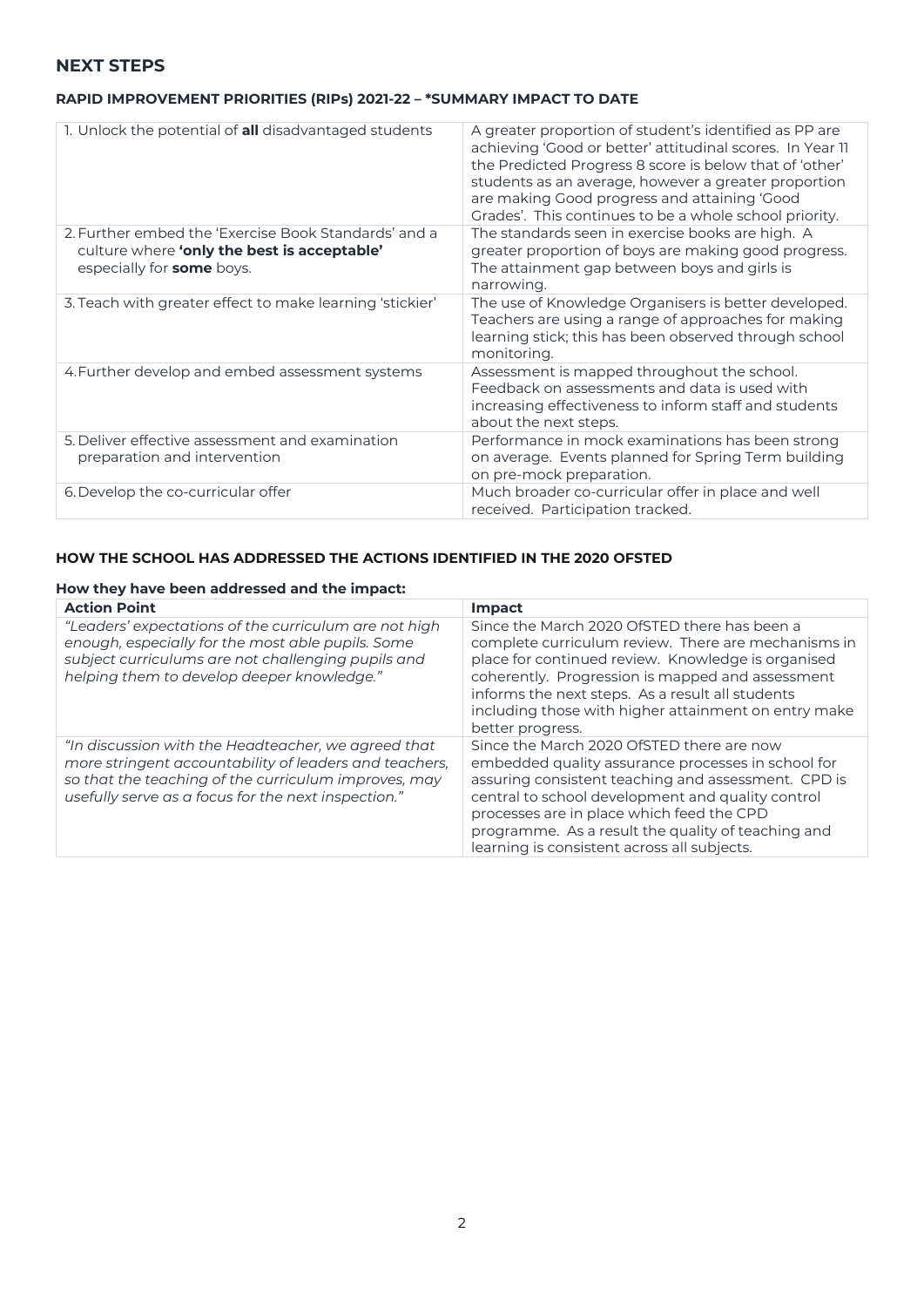### **NEXT STEPS**

### **RAPID IMPROVEMENT PRIORITIES (RIPs) 2021-22 – \*SUMMARY IMPACT TO DATE**

| 1. Unlock the potential of all disadvantaged students                                                                                   | A greater proportion of student's identified as PP are<br>achieving 'Good or better' attitudinal scores. In Year II<br>the Predicted Progress 8 score is below that of 'other'<br>students as an average, however a greater proportion<br>are making Good progress and attaining 'Good<br>Grades'. This continues to be a whole school priority. |
|-----------------------------------------------------------------------------------------------------------------------------------------|--------------------------------------------------------------------------------------------------------------------------------------------------------------------------------------------------------------------------------------------------------------------------------------------------------------------------------------------------|
| 2. Further embed the 'Exercise Book Standards' and a<br>culture where 'only the best is acceptable'<br>especially for <b>some</b> boys. | The standards seen in exercise books are high. A<br>greater proportion of boys are making good progress.<br>The attainment gap between boys and girls is<br>narrowing.                                                                                                                                                                           |
| 3. Teach with greater effect to make learning 'stickier'                                                                                | The use of Knowledge Organisers is better developed.<br>Teachers are using a range of approaches for making<br>learning stick; this has been observed through school<br>monitoring.                                                                                                                                                              |
| 4. Further develop and embed assessment systems                                                                                         | Assessment is mapped throughout the school.<br>Feedback on assessments and data is used with<br>increasing effectiveness to inform staff and students<br>about the next steps.                                                                                                                                                                   |
| 5. Deliver effective assessment and examination<br>preparation and intervention                                                         | Performance in mock examinations has been strong<br>on average. Events planned for Spring Term building<br>on pre-mock preparation.                                                                                                                                                                                                              |
| 6. Develop the co-curricular offer                                                                                                      | Much broader co-curricular offer in place and well<br>received. Participation tracked.                                                                                                                                                                                                                                                           |

## **HOW THE SCHOOL HAS ADDRESSED THE ACTIONS IDENTIFIED IN THE 2020 OFSTED**

### **How they have been addressed and the impact:**

| <b>Action Point</b>                                                                                                                                                                                                          | <b>Impact</b>                                                                                                                                                                                                                                                                                                                                                 |
|------------------------------------------------------------------------------------------------------------------------------------------------------------------------------------------------------------------------------|---------------------------------------------------------------------------------------------------------------------------------------------------------------------------------------------------------------------------------------------------------------------------------------------------------------------------------------------------------------|
| "Leaders' expectations of the curriculum are not high<br>enough, especially for the most able pupils. Some<br>subject curriculums are not challenging pupils and<br>helping them to develop deeper knowledge."               | Since the March 2020 OfSTED there has been a<br>complete curriculum review. There are mechanisms in<br>place for continued review. Knowledge is organised<br>coherently. Progression is mapped and assessment<br>informs the next steps. As a result all students<br>including those with higher attainment on entry make<br>better progress.                 |
| "In discussion with the Headteacher, we agreed that<br>more stringent accountability of leaders and teachers,<br>so that the teaching of the curriculum improves, may<br>usefully serve as a focus for the next inspection." | Since the March 2020 OfSTED there are now<br>embedded quality assurance processes in school for<br>assuring consistent teaching and assessment. CPD is<br>central to school development and quality control<br>processes are in place which feed the CPD<br>programme. As a result the quality of teaching and<br>learning is consistent across all subjects. |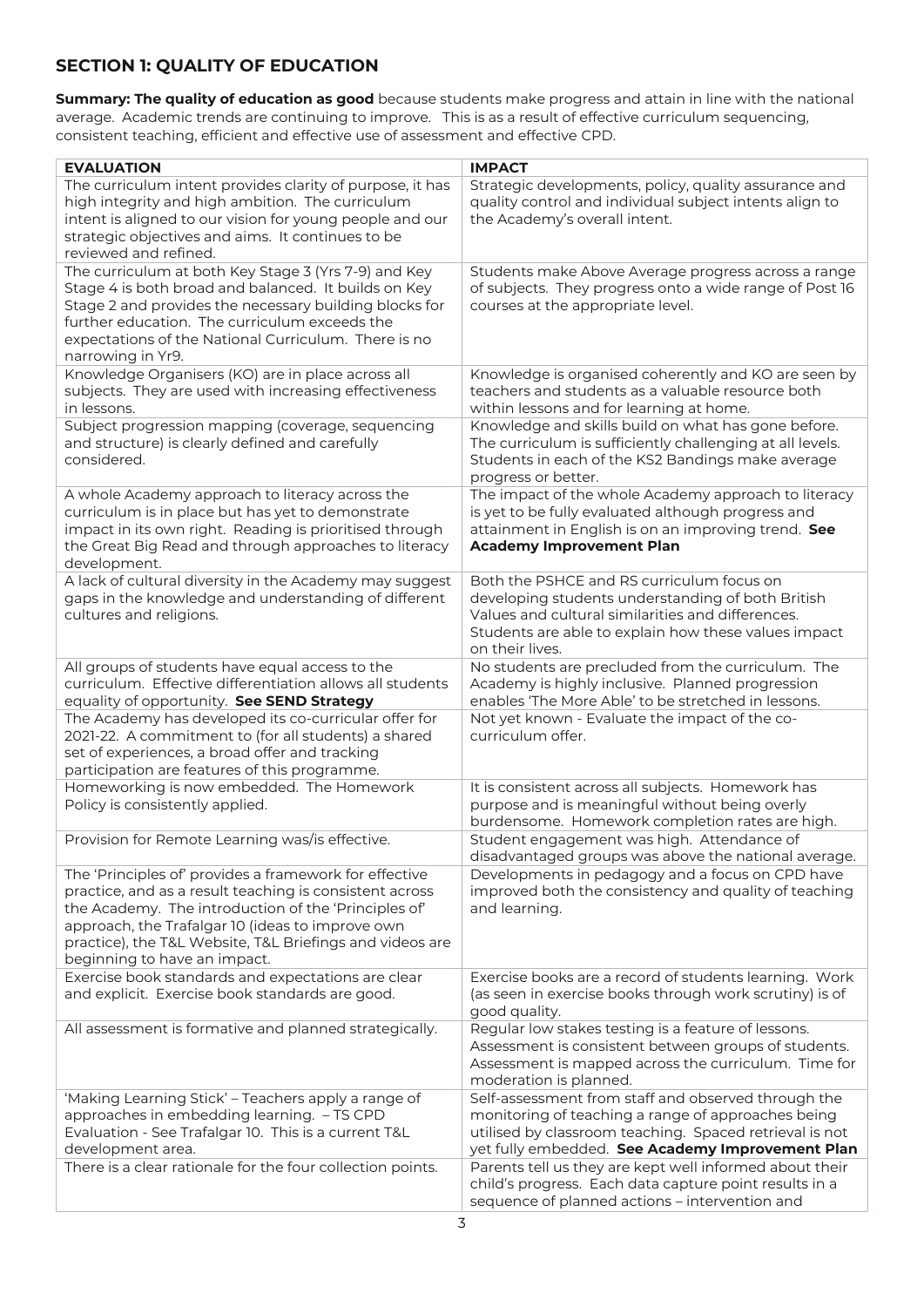# **SECTION 1: QUALITY OF EDUCATION**

**Summary: The quality of education as good** because students make progress and attain in line with the national average. Academic trends are continuing to improve. This is as a result of effective curriculum sequencing, consistent teaching, efficient and effective use of assessment and effective CPD.

| <b>EVALUATION</b>                                                                                                                                                                                                                                                                                                         | <b>IMPACT</b>                                                                                                                                                                                                                  |
|---------------------------------------------------------------------------------------------------------------------------------------------------------------------------------------------------------------------------------------------------------------------------------------------------------------------------|--------------------------------------------------------------------------------------------------------------------------------------------------------------------------------------------------------------------------------|
| The curriculum intent provides clarity of purpose, it has<br>high integrity and high ambition. The curriculum<br>intent is aligned to our vision for young people and our<br>strategic objectives and aims. It continues to be<br>reviewed and refined.                                                                   | Strategic developments, policy, quality assurance and<br>quality control and individual subject intents align to<br>the Academy's overall intent.                                                                              |
| The curriculum at both Key Stage 3 (Yrs 7-9) and Key<br>Stage 4 is both broad and balanced. It builds on Key<br>Stage 2 and provides the necessary building blocks for<br>further education. The curriculum exceeds the<br>expectations of the National Curriculum. There is no                                           | Students make Above Average progress across a range<br>of subjects. They progress onto a wide range of Post 16<br>courses at the appropriate level.                                                                            |
| narrowing in Yr9.<br>Knowledge Organisers (KO) are in place across all<br>subjects. They are used with increasing effectiveness<br>in lessons.                                                                                                                                                                            | Knowledge is organised coherently and KO are seen by<br>teachers and students as a valuable resource both<br>within lessons and for learning at home.                                                                          |
| Subject progression mapping (coverage, sequencing<br>and structure) is clearly defined and carefully<br>considered.                                                                                                                                                                                                       | Knowledge and skills build on what has gone before.<br>The curriculum is sufficiently challenging at all levels.<br>Students in each of the KS2 Bandings make average<br>progress or better.                                   |
| A whole Academy approach to literacy across the<br>curriculum is in place but has yet to demonstrate<br>impact in its own right. Reading is prioritised through<br>the Great Big Read and through approaches to literacy<br>development.                                                                                  | The impact of the whole Academy approach to literacy<br>is yet to be fully evaluated although progress and<br>attainment in English is on an improving trend. See<br><b>Academy Improvement Plan</b>                           |
| A lack of cultural diversity in the Academy may suggest<br>gaps in the knowledge and understanding of different<br>cultures and religions.                                                                                                                                                                                | Both the PSHCE and RS curriculum focus on<br>developing students understanding of both British<br>Values and cultural similarities and differences.<br>Students are able to explain how these values impact<br>on their lives. |
| All groups of students have equal access to the<br>curriculum. Effective differentiation allows all students<br>equality of opportunity. See SEND Strategy                                                                                                                                                                | No students are precluded from the curriculum. The<br>Academy is highly inclusive. Planned progression<br>enables 'The More Able' to be stretched in lessons.                                                                  |
| The Academy has developed its co-curricular offer for<br>2021-22. A commitment to (for all students) a shared<br>set of experiences, a broad offer and tracking<br>participation are features of this programme.                                                                                                          | Not yet known - Evaluate the impact of the co-<br>curriculum offer.                                                                                                                                                            |
| Homeworking is now embedded. The Homework<br>Policy is consistently applied.                                                                                                                                                                                                                                              | It is consistent across all subjects. Homework has<br>purpose and is meaningful without being overly<br>burdensome. Homework completion rates are high.                                                                        |
| Provision for Remote Learning was/is effective.                                                                                                                                                                                                                                                                           | Student engagement was high. Attendance of<br>disadvantaged groups was above the national average.                                                                                                                             |
| The 'Principles of' provides a framework for effective<br>practice, and as a result teaching is consistent across<br>the Academy. The introduction of the 'Principles of'<br>approach, the Trafalgar 10 (ideas to improve own<br>practice), the T&L Website, T&L Briefings and videos are<br>beginning to have an impact. | Developments in pedagogy and a focus on CPD have<br>improved both the consistency and quality of teaching<br>and learning.                                                                                                     |
| Exercise book standards and expectations are clear<br>and explicit. Exercise book standards are good.                                                                                                                                                                                                                     | Exercise books are a record of students learning. Work<br>(as seen in exercise books through work scrutiny) is of<br>good quality.                                                                                             |
| All assessment is formative and planned strategically.                                                                                                                                                                                                                                                                    | Regular low stakes testing is a feature of lessons.<br>Assessment is consistent between groups of students.<br>Assessment is mapped across the curriculum. Time for<br>moderation is planned.                                  |
| 'Making Learning Stick' - Teachers apply a range of<br>approaches in embedding learning. - TS CPD<br>Evaluation - See Trafalgar 10. This is a current T&L<br>development area.                                                                                                                                            | Self-assessment from staff and observed through the<br>monitoring of teaching a range of approaches being<br>utilised by classroom teaching. Spaced retrieval is not<br>yet fully embedded. See Academy Improvement Plan       |
| There is a clear rationale for the four collection points.                                                                                                                                                                                                                                                                | Parents tell us they are kept well informed about their<br>child's progress. Each data capture point results in a<br>sequence of planned actions - intervention and                                                            |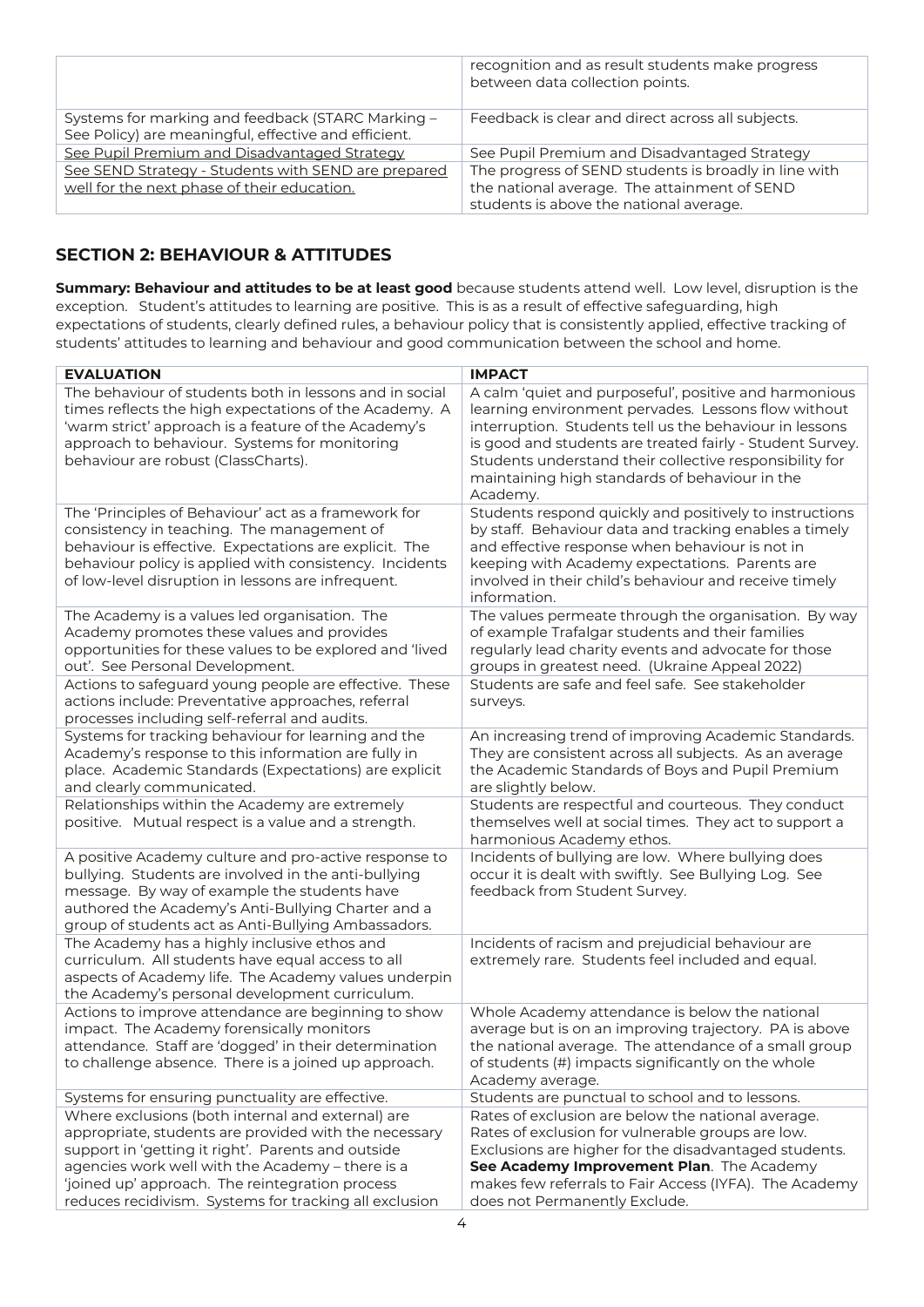|                                                                                                           | recognition and as result students make progress<br>between data collection points.                                                              |
|-----------------------------------------------------------------------------------------------------------|--------------------------------------------------------------------------------------------------------------------------------------------------|
| Systems for marking and feedback (STARC Marking -<br>See Policy) are meaningful, effective and efficient. | Feedback is clear and direct across all subjects.                                                                                                |
| See Pupil Premium and Disadvantaged Strategy                                                              | See Pupil Premium and Disadvantaged Strategy                                                                                                     |
| See SEND Strategy - Students with SEND are prepared<br>well for the next phase of their education.        | The progress of SEND students is broadly in line with<br>the national average. The attainment of SEND<br>students is above the national average. |

# **SECTION 2: BEHAVIOUR & ATTITUDES**

**Summary: Behaviour and attitudes to be at least good** because students attend well. Low level, disruption is the exception. Student's attitudes to learning are positive. This is as a result of effective safeguarding, high expectations of students, clearly defined rules, a behaviour policy that is consistently applied, effective tracking of students' attitudes to learning and behaviour and good communication between the school and home.

| <b>EVALUATION</b>                                                                                                                                                         | <b>IMPACT</b>                                                                                                                                                            |
|---------------------------------------------------------------------------------------------------------------------------------------------------------------------------|--------------------------------------------------------------------------------------------------------------------------------------------------------------------------|
| The behaviour of students both in lessons and in social<br>times reflects the high expectations of the Academy. A<br>'warm strict' approach is a feature of the Academy's | A calm 'quiet and purposeful', positive and harmonious<br>learning environment pervades. Lessons flow without<br>interruption. Students tell us the behaviour in lessons |
| approach to behaviour. Systems for monitoring                                                                                                                             | is good and students are treated fairly - Student Survey.                                                                                                                |
| behaviour are robust (ClassCharts).                                                                                                                                       | Students understand their collective responsibility for                                                                                                                  |
|                                                                                                                                                                           | maintaining high standards of behaviour in the                                                                                                                           |
|                                                                                                                                                                           | Academy.                                                                                                                                                                 |
| The 'Principles of Behaviour' act as a framework for                                                                                                                      | Students respond quickly and positively to instructions                                                                                                                  |
| consistency in teaching. The management of                                                                                                                                | by staff. Behaviour data and tracking enables a timely                                                                                                                   |
| behaviour is effective. Expectations are explicit. The                                                                                                                    | and effective response when behaviour is not in                                                                                                                          |
| behaviour policy is applied with consistency. Incidents                                                                                                                   | keeping with Academy expectations. Parents are                                                                                                                           |
| of low-level disruption in lessons are infrequent.                                                                                                                        | involved in their child's behaviour and receive timely                                                                                                                   |
|                                                                                                                                                                           | information.                                                                                                                                                             |
| The Academy is a values led organisation. The                                                                                                                             | The values permeate through the organisation. By way                                                                                                                     |
| Academy promotes these values and provides                                                                                                                                | of example Trafalgar students and their families                                                                                                                         |
| opportunities for these values to be explored and 'lived                                                                                                                  | regularly lead charity events and advocate for those                                                                                                                     |
| out'. See Personal Development.                                                                                                                                           | groups in greatest need. (Ukraine Appeal 2022)                                                                                                                           |
| Actions to safeguard young people are effective. These                                                                                                                    | Students are safe and feel safe. See stakeholder                                                                                                                         |
| actions include: Preventative approaches, referral                                                                                                                        | surveys.                                                                                                                                                                 |
| processes including self-referral and audits.                                                                                                                             |                                                                                                                                                                          |
| Systems for tracking behaviour for learning and the                                                                                                                       | An increasing trend of improving Academic Standards.                                                                                                                     |
| Academy's response to this information are fully in                                                                                                                       | They are consistent across all subjects. As an average                                                                                                                   |
| place. Academic Standards (Expectations) are explicit                                                                                                                     | the Academic Standards of Boys and Pupil Premium                                                                                                                         |
| and clearly communicated.                                                                                                                                                 | are slightly below.                                                                                                                                                      |
| Relationships within the Academy are extremely                                                                                                                            | Students are respectful and courteous. They conduct                                                                                                                      |
| positive. Mutual respect is a value and a strength.                                                                                                                       | themselves well at social times. They act to support a                                                                                                                   |
|                                                                                                                                                                           | harmonious Academy ethos.                                                                                                                                                |
| A positive Academy culture and pro-active response to                                                                                                                     | Incidents of bullying are low. Where bullying does<br>occur it is dealt with swiftly. See Bullying Log. See                                                              |
| bullying. Students are involved in the anti-bullying<br>message. By way of example the students have                                                                      | feedback from Student Survey.                                                                                                                                            |
| authored the Academy's Anti-Bullying Charter and a                                                                                                                        |                                                                                                                                                                          |
| group of students act as Anti-Bullying Ambassadors.                                                                                                                       |                                                                                                                                                                          |
| The Academy has a highly inclusive ethos and                                                                                                                              | Incidents of racism and prejudicial behaviour are                                                                                                                        |
| curriculum. All students have equal access to all                                                                                                                         | extremely rare. Students feel included and equal.                                                                                                                        |
| aspects of Academy life. The Academy values underpin                                                                                                                      |                                                                                                                                                                          |
| the Academy's personal development curriculum.                                                                                                                            |                                                                                                                                                                          |
| Actions to improve attendance are beginning to show                                                                                                                       | Whole Academy attendance is below the national                                                                                                                           |
| impact. The Academy forensically monitors                                                                                                                                 | average but is on an improving trajectory. PA is above                                                                                                                   |
| attendance. Staff are 'dogged' in their determination                                                                                                                     | the national average. The attendance of a small group                                                                                                                    |
| to challenge absence. There is a joined up approach.                                                                                                                      | of students (#) impacts significantly on the whole                                                                                                                       |
|                                                                                                                                                                           | Academy average.                                                                                                                                                         |
| Systems for ensuring punctuality are effective.                                                                                                                           | Students are punctual to school and to lessons.                                                                                                                          |
| Where exclusions (both internal and external) are                                                                                                                         | Rates of exclusion are below the national average.                                                                                                                       |
| appropriate, students are provided with the necessary                                                                                                                     | Rates of exclusion for vulnerable groups are low.                                                                                                                        |
| support in 'getting it right'. Parents and outside                                                                                                                        | Exclusions are higher for the disadvantaged students.                                                                                                                    |
| agencies work well with the Academy - there is a                                                                                                                          | See Academy Improvement Plan. The Academy                                                                                                                                |
| 'joined up' approach. The reintegration process                                                                                                                           | makes few referrals to Fair Access (IYFA). The Academy                                                                                                                   |
| reduces recidivism. Systems for tracking all exclusion                                                                                                                    | does not Permanently Exclude.                                                                                                                                            |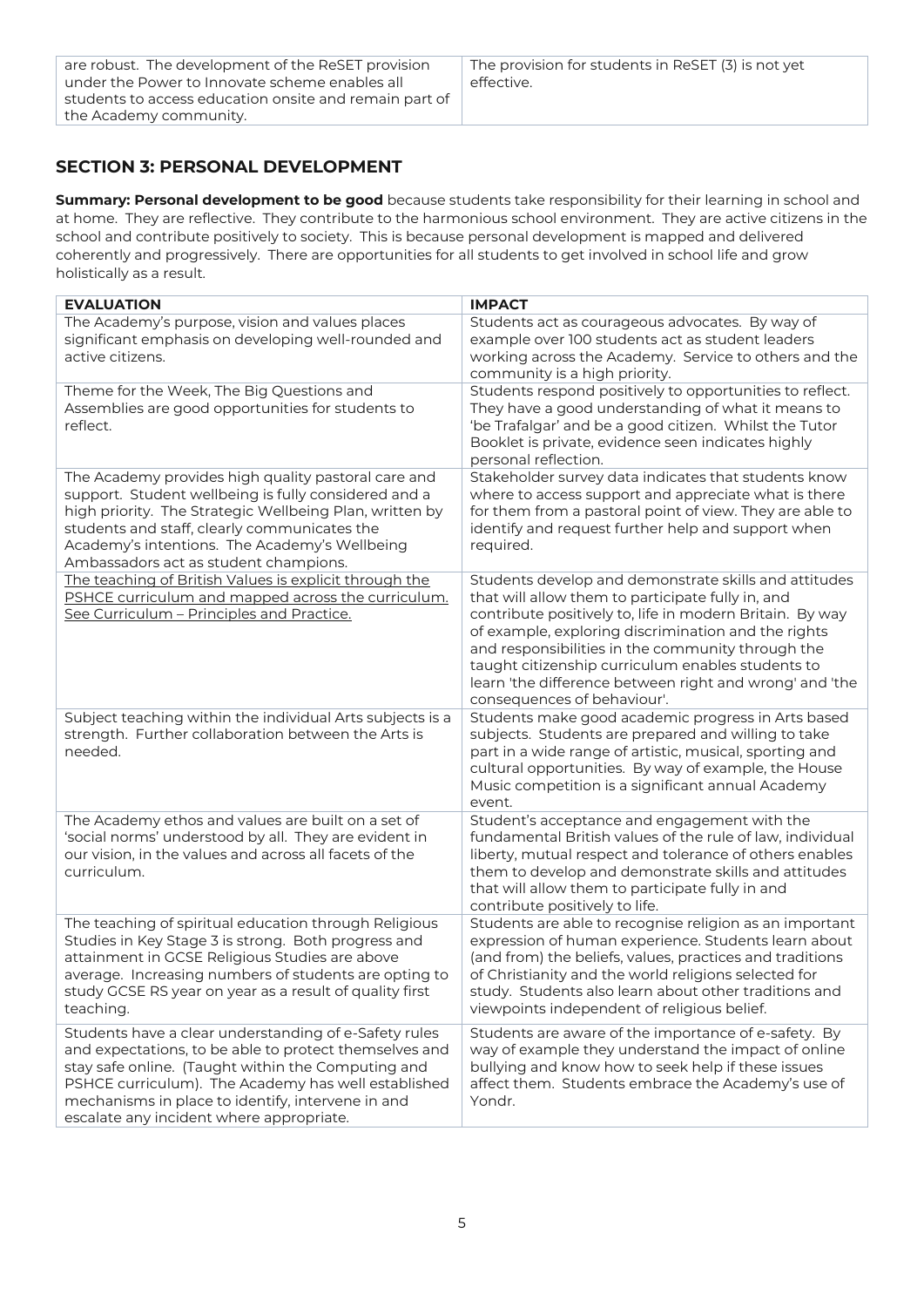## **SECTION 3: PERSONAL DEVELOPMENT**

**Summary: Personal development to be good** because students take responsibility for their learning in school and at home. They are reflective. They contribute to the harmonious school environment. They are active citizens in the school and contribute positively to society. This is because personal development is mapped and delivered coherently and progressively. There are opportunities for all students to get involved in school life and grow holistically as a result.

| <b>EVALUATION</b>                                                                                                                                                                                                                                                                                                             | <b>IMPACT</b>                                                                                                                                                                                                                                                                                                                                                                                                                     |
|-------------------------------------------------------------------------------------------------------------------------------------------------------------------------------------------------------------------------------------------------------------------------------------------------------------------------------|-----------------------------------------------------------------------------------------------------------------------------------------------------------------------------------------------------------------------------------------------------------------------------------------------------------------------------------------------------------------------------------------------------------------------------------|
| The Academy's purpose, vision and values places<br>significant emphasis on developing well-rounded and<br>active citizens.                                                                                                                                                                                                    | Students act as courageous advocates. By way of<br>example over 100 students act as student leaders<br>working across the Academy. Service to others and the<br>community is a high priority.                                                                                                                                                                                                                                     |
| Theme for the Week, The Big Questions and<br>Assemblies are good opportunities for students to<br>reflect.                                                                                                                                                                                                                    | Students respond positively to opportunities to reflect.<br>They have a good understanding of what it means to<br>'be Trafalgar' and be a good citizen. Whilst the Tutor<br>Booklet is private, evidence seen indicates highly<br>personal reflection.                                                                                                                                                                            |
| The Academy provides high quality pastoral care and<br>support. Student wellbeing is fully considered and a<br>high priority. The Strategic Wellbeing Plan, written by<br>students and staff, clearly communicates the<br>Academy's intentions. The Academy's Wellbeing<br>Ambassadors act as student champions.              | Stakeholder survey data indicates that students know<br>where to access support and appreciate what is there<br>for them from a pastoral point of view. They are able to<br>identify and request further help and support when<br>required.                                                                                                                                                                                       |
| The teaching of British Values is explicit through the<br>PSHCE curriculum and mapped across the curriculum.<br>See Curriculum - Principles and Practice.                                                                                                                                                                     | Students develop and demonstrate skills and attitudes<br>that will allow them to participate fully in, and<br>contribute positively to, life in modern Britain. By way<br>of example, exploring discrimination and the rights<br>and responsibilities in the community through the<br>taught citizenship curriculum enables students to<br>learn 'the difference between right and wrong' and 'the<br>consequences of behaviour'. |
| Subject teaching within the individual Arts subjects is a<br>strength. Further collaboration between the Arts is<br>needed.                                                                                                                                                                                                   | Students make good academic progress in Arts based<br>subjects. Students are prepared and willing to take<br>part in a wide range of artistic, musical, sporting and<br>cultural opportunities. By way of example, the House<br>Music competition is a significant annual Academy<br>event.                                                                                                                                       |
| The Academy ethos and values are built on a set of<br>'social norms' understood by all. They are evident in<br>our vision, in the values and across all facets of the<br>curriculum.                                                                                                                                          | Student's acceptance and engagement with the<br>fundamental British values of the rule of law, individual<br>liberty, mutual respect and tolerance of others enables<br>them to develop and demonstrate skills and attitudes<br>that will allow them to participate fully in and<br>contribute positively to life.                                                                                                                |
| The teaching of spiritual education through Religious<br>Studies in Key Stage 3 is strong. Both progress and<br>attainment in GCSE Religious Studies are above<br>average. Increasing numbers of students are opting to<br>study GCSE RS year on year as a result of quality first<br>teaching.                               | Students are able to recognise religion as an important<br>expression of human experience. Students learn about<br>(and from) the beliefs, values, practices and traditions<br>of Christianity and the world religions selected for<br>study. Students also learn about other traditions and<br>viewpoints independent of religious belief.                                                                                       |
| Students have a clear understanding of e-Safety rules<br>and expectations, to be able to protect themselves and<br>stay safe online. (Taught within the Computing and<br>PSHCE curriculum). The Academy has well established<br>mechanisms in place to identify, intervene in and<br>escalate any incident where appropriate. | Students are aware of the importance of e-safety. By<br>way of example they understand the impact of online<br>bullying and know how to seek help if these issues<br>affect them. Students embrace the Academy's use of<br>Yondr.                                                                                                                                                                                                 |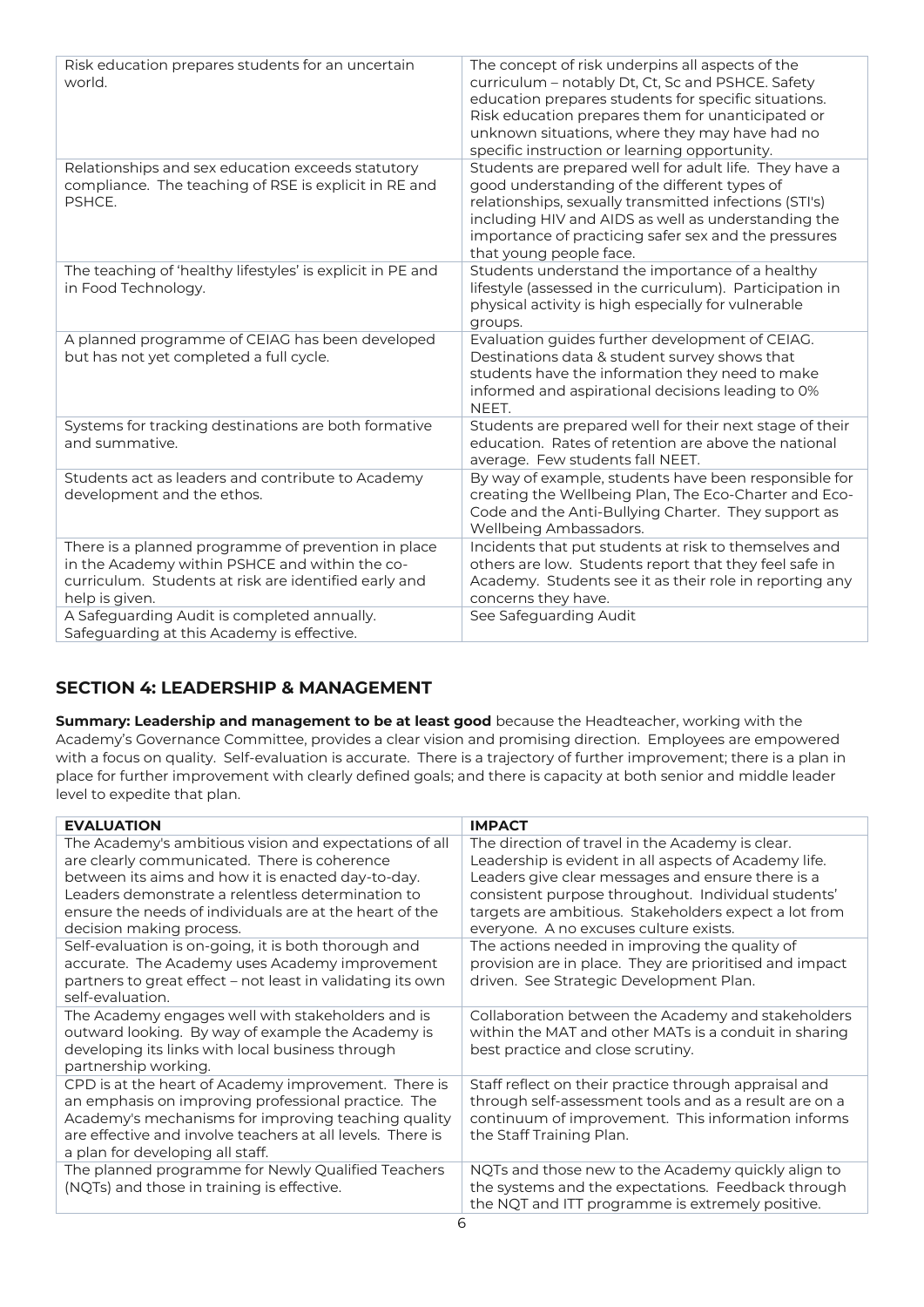| Risk education prepares students for an uncertain<br>world.                                                                                                                                                                                                                   | The concept of risk underpins all aspects of the<br>curriculum - notably Dt, Ct, Sc and PSHCE. Safety<br>education prepares students for specific situations.<br>Risk education prepares them for unanticipated or<br>unknown situations, where they may have had no<br>specific instruction or learning opportunity. |
|-------------------------------------------------------------------------------------------------------------------------------------------------------------------------------------------------------------------------------------------------------------------------------|-----------------------------------------------------------------------------------------------------------------------------------------------------------------------------------------------------------------------------------------------------------------------------------------------------------------------|
| Relationships and sex education exceeds statutory<br>compliance. The teaching of RSE is explicit in RE and<br>PSHCE.                                                                                                                                                          | Students are prepared well for adult life. They have a<br>good understanding of the different types of<br>relationships, sexually transmitted infections (STI's)<br>including HIV and AIDS as well as understanding the<br>importance of practicing safer sex and the pressures<br>that young people face.            |
| The teaching of 'healthy lifestyles' is explicit in PE and<br>in Food Technology.                                                                                                                                                                                             | Students understand the importance of a healthy<br>lifestyle (assessed in the curriculum). Participation in<br>physical activity is high especially for vulnerable<br>groups.                                                                                                                                         |
| A planned programme of CEIAG has been developed<br>but has not yet completed a full cycle.                                                                                                                                                                                    | Evaluation guides further development of CEIAG.<br>Destinations data & student survey shows that<br>students have the information they need to make<br>informed and aspirational decisions leading to 0%<br>NEET.                                                                                                     |
| Systems for tracking destinations are both formative<br>and summative.                                                                                                                                                                                                        | Students are prepared well for their next stage of their<br>education. Rates of retention are above the national<br>average. Few students fall NEET.                                                                                                                                                                  |
| Students act as leaders and contribute to Academy<br>development and the ethos.                                                                                                                                                                                               | By way of example, students have been responsible for<br>creating the Wellbeing Plan, The Eco-Charter and Eco-<br>Code and the Anti-Bullying Charter. They support as<br>Wellbeing Ambassadors.                                                                                                                       |
| There is a planned programme of prevention in place<br>in the Academy within PSHCE and within the co-<br>curriculum. Students at risk are identified early and<br>help is given.<br>A Safeguarding Audit is completed annually.<br>Safeguarding at this Academy is effective. | Incidents that put students at risk to themselves and<br>others are low. Students report that they feel safe in<br>Academy. Students see it as their role in reporting any<br>concerns they have.<br>See Safeguarding Audit                                                                                           |

## **SECTION 4: LEADERSHIP & MANAGEMENT**

**Summary: Leadership and management to be at least good** because the Headteacher, working with the Academy's Governance Committee, provides a clear vision and promising direction. Employees are empowered with a focus on quality. Self-evaluation is accurate. There is a trajectory of further improvement; there is a plan in place for further improvement with clearly defined goals; and there is capacity at both senior and middle leader level to expedite that plan.

| <b>EVALUATION</b>                                                                                                                                                                                                                                                                                        | <b>IMPACT</b>                                                                                                                                                                                                                                                                                                            |  |  |
|----------------------------------------------------------------------------------------------------------------------------------------------------------------------------------------------------------------------------------------------------------------------------------------------------------|--------------------------------------------------------------------------------------------------------------------------------------------------------------------------------------------------------------------------------------------------------------------------------------------------------------------------|--|--|
| The Academy's ambitious vision and expectations of all<br>are clearly communicated. There is coherence<br>between its aims and how it is enacted day-to-day.<br>Leaders demonstrate a relentless determination to<br>ensure the needs of individuals are at the heart of the<br>decision making process. | The direction of travel in the Academy is clear.<br>Leadership is evident in all aspects of Academy life.<br>Leaders give clear messages and ensure there is a<br>consistent purpose throughout. Individual students'<br>targets are ambitious. Stakeholders expect a lot from<br>everyone. A no excuses culture exists. |  |  |
| Self-evaluation is on-going, it is both thorough and<br>accurate. The Academy uses Academy improvement<br>partners to great effect – not least in validating its own<br>self-evaluation.                                                                                                                 | The actions needed in improving the quality of<br>provision are in place. They are prioritised and impact<br>driven. See Strategic Development Plan.                                                                                                                                                                     |  |  |
| The Academy engages well with stakeholders and is<br>outward looking. By way of example the Academy is<br>developing its links with local business through<br>partnership working.                                                                                                                       | Collaboration between the Academy and stakeholders<br>within the MAT and other MATs is a conduit in sharing<br>best practice and close scrutiny.                                                                                                                                                                         |  |  |
| CPD is at the heart of Academy improvement. There is<br>an emphasis on improving professional practice. The<br>Academy's mechanisms for improving teaching quality<br>are effective and involve teachers at all levels. There is<br>a plan for developing all staff.                                     | Staff reflect on their practice through appraisal and<br>through self-assessment tools and as a result are on a<br>continuum of improvement. This information informs<br>the Staff Training Plan.                                                                                                                        |  |  |
| The planned programme for Newly Qualified Teachers<br>(NQTs) and those in training is effective.                                                                                                                                                                                                         | NQTs and those new to the Academy quickly align to<br>the systems and the expectations. Feedback through<br>the NQT and ITT programme is extremely positive.                                                                                                                                                             |  |  |